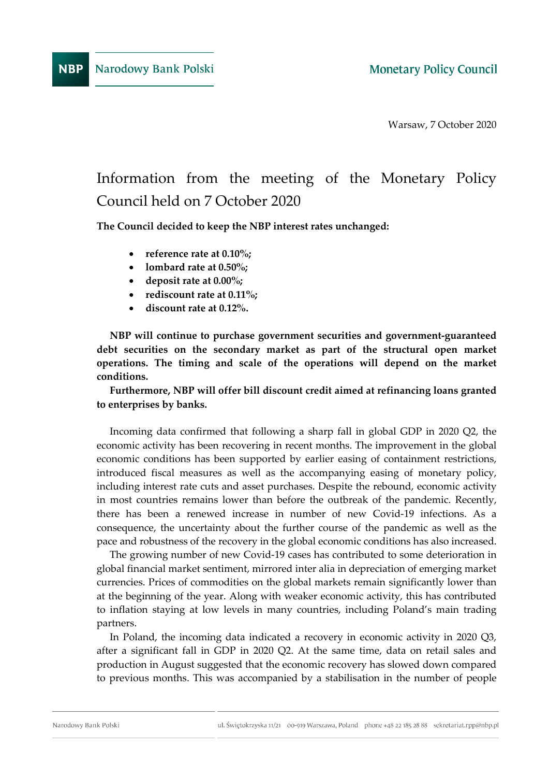Warsaw, 7 October 2020

## Information from the meeting of the Monetary Policy Council held on 7 October 2020

**The Council decided to keep the NBP interest rates unchanged:**

- **reference rate at 0.10%;**
- **lombard rate at 0.50%;**
- **deposit rate at 0.00%;**
- **rediscount rate at 0.11%;**
- **discount rate at 0.12%.**

**NBP will continue to purchase government securities and government-guaranteed debt securities on the secondary market as part of the structural open market operations. The timing and scale of the operations will depend on the market conditions.** 

## **Furthermore, NBP will offer bill discount credit aimed at refinancing loans granted to enterprises by banks.**

Incoming data confirmed that following a sharp fall in global GDP in 2020 Q2, the economic activity has been recovering in recent months. The improvement in the global economic conditions has been supported by earlier easing of containment restrictions, introduced fiscal measures as well as the accompanying easing of monetary policy, including interest rate cuts and asset purchases. Despite the rebound, economic activity in most countries remains lower than before the outbreak of the pandemic. Recently, there has been a renewed increase in number of new Covid-19 infections. As a consequence, the uncertainty about the further course of the pandemic as well as the pace and robustness of the recovery in the global economic conditions has also increased.

The growing number of new Covid-19 cases has contributed to some deterioration in global financial market sentiment, mirrored inter alia in depreciation of emerging market currencies. Prices of commodities on the global markets remain significantly lower than at the beginning of the year. Along with weaker economic activity, this has contributed to inflation staying at low levels in many countries, including Poland's main trading partners.

In Poland, the incoming data indicated a recovery in economic activity in 2020 Q3, after a significant fall in GDP in 2020 Q2. At the same time, data on retail sales and production in August suggested that the economic recovery has slowed down compared to previous months. This was accompanied by a stabilisation in the number of people